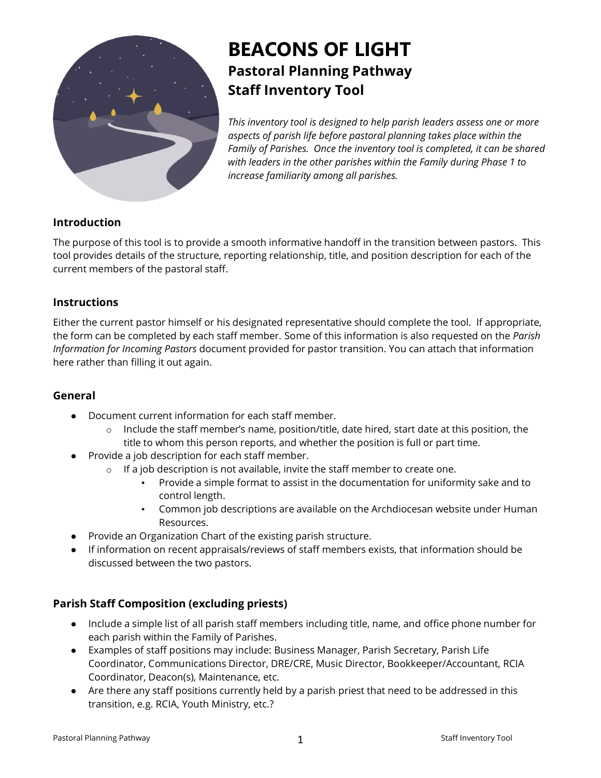

# **BEACONS OF LIGHT Pastoral Planning Pathway Staff Inventory Tool**

*This inventory tool is designed to help parish leaders assess one or more aspects of parish life before pastoral planning takes place within the Family of Parishes. Once the inventory tool is completed, it can be shared with leaders in the other parishes within the Family during Phase 1 to increase familiarity among all parishes.*

# **Introduction**

The purpose of this tool is to provide a smooth informative handoff in the transition between pastors. This tool provides details of the structure, reporting relationship, title, and position description for each of the current members of the pastoral staff.

#### **Instructions**

Either the current pastor himself or his designated representative should complete the tool. If appropriate, the form can be completed by each staff member. Some of this information is also requested on the *Parish Information for Incoming Pastors* document provided for pastor transition. You can attach that information here rather than filling it out again.

### **General**

- Document current information for each staff member.
	- $\circ$  Include the staff member's name, position/title, date hired, start date at this position, the title to whom this person reports, and whether the position is full or part time.
- Provide a job description for each staff member.
	- o If a job description is not available, invite the staff member to create one.
		- Provide a simple format to assist in the documentation for uniformity sake and to control length.
		- Common job descriptions are available on the Archdiocesan website under Human Resources.
- Provide an Organization Chart of the existing parish structure.
- If information on recent appraisals/reviews of staff members exists, that information should be discussed between the two pastors.

# **Parish Staff Composition (excluding priests)**

- Include a simple list of all parish staff members including title, name, and office phone number for each parish within the Family of Parishes.
- Examples of staff positions may include: Business Manager, Parish Secretary, Parish Life Coordinator, Communications Director, DRE/CRE, Music Director, Bookkeeper/Accountant, RCIA Coordinator, Deacon(s), Maintenance, etc.
- Are there any staff positions currently held by a parish priest that need to be addressed in this transition, e.g. RCIA, Youth Ministry, etc.?